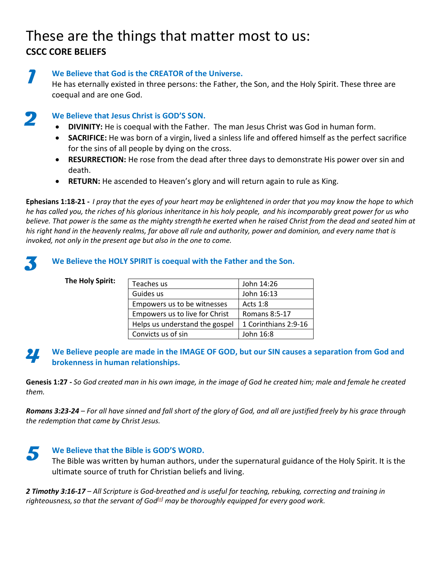# These are the things that matter most to us: **CSCC CORE BELIEFS**

**We Believe that God is the CREATOR of the Universe.**  He has eternally existed in three persons: the Father, the Son, and the Holy Spirit. These three are coequal and are one God.

**We Believe that Jesus Christ is GOD'S SON. 2**

**1**

**3**

- **DIVINITY:** He is coequal with the Father. The man Jesus Christ was God in human form.
- **SACRIFICE:** He was born of a virgin, lived a sinless life and offered himself as the perfect sacrifice for the sins of all people by dying on the cross.
- **RESURRECTION:** He rose from the dead after three days to demonstrate His power over sin and death.
- **RETURN:** He ascended to Heaven's glory and will return again to rule as King.

**Ephesians 1:18-21 -** *I pray that the eyes of your heart may be enlightened in order that you may know the hope to which he has called you, the riches of his glorious inheritance in his holy people, and his incomparably great power for us who believe. That power is the same as the mighty strength he exerted when he raised Christ from the dead and seated him at his right hand in the heavenly realms, far above all rule and authority, power and dominion, and every name that is invoked, not only in the present age but also in the one to come.*

## **We Believe the HOLY SPIRIT is coequal with the Father and the Son.**

## **The Holy Spirit:**

| Teaches us                     | John 14:26           |
|--------------------------------|----------------------|
| Guides us                      | John 16:13           |
| Empowers us to be witnesses    | <b>Acts 1:8</b>      |
| Empowers us to live for Christ | <b>Romans 8:5-17</b> |
| Helps us understand the gospel | 1 Corinthians 2:9-16 |
| Convicts us of sin             | John 16:8            |

#### **We Believe people are made in the IMAGE OF GOD, but our SIN causes a separation from God and brokenness in human relationships. 4**

**Genesis 1:27 -** *So God created man in his own image, in the image of God he created him; male and female he created them.*

*Romans 3:23-24 – For all have sinned and fall short of the glory of God, and all are justified freely by his grace through the redemption that came by Christ Jesus.*



The Bible was written by human authors, under the supernatural guidance of the Holy Spirit. It is the ultimate source of truth for Christian beliefs and living.

*2 Timothy 3:16-17 – All Scripture is God-breathed and is useful for teaching, rebuking, correcting and training in righteousness,so that the servant of God[\[a\]](https://www.biblegateway.com/passage/?search=2+timothy+3&version=NIV#fen-NIV-29871a) may be thoroughly equipped for every good work.*